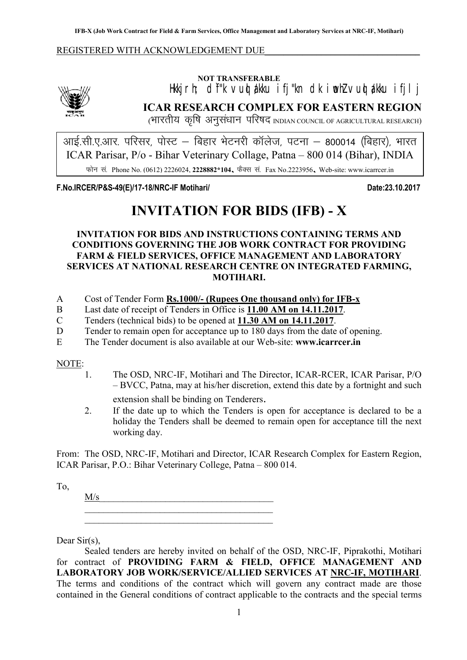#### REGISTERED WITH ACKNOWLEDGEMENT DUE



# NOT TRANSFERABLE Hkkjrh; dî"k vuq akku ifj"kn dk iwohZ vuq akku ifjlj ICAR RESEARCH COMPLEX FOR EASTERN REGION

(भारतीय कृषि अनुसंधान परिषद INDIAN COUNCIL OF AGRICULTURAL RESEARCH)

<u>आई.सी.ए.आर. परिसर, पोस्ट – बिहार भेटनरी कॉलेज, पटना – 800014 (बिहार), भारत</u> ICAR Parisar, P/o - Bihar Veterinary Collage, Patna – 800 014 (Bihar), INDIA फोन सं. Phone No. (0612) 2226024, 2228882\*104, फैक्स सं. Fax No.2223956, Web-site: www.icarrcer.in

F.No.IRCER/P&S-49(E)/17-18/NRC-IF Motihari/ Date:23.10.2017

# INVITATION FOR BIDS (IFB) - X

INVITATION FOR BIDS AND INSTRUCTIONS CONTAINING TERMS AND CONDITIONS GOVERNING THE JOB WORK CONTRACT FOR PROVIDING FARM & FIELD SERVICES, OFFICE MANAGEMENT AND LABORATORY SERVICES AT NATIONAL RESEARCH CENTRE ON INTEGRATED FARMING, MOTIHARI.

- A Cost of Tender Form Rs.1000/- (Rupees One thousand only) for IFB-x
- B Last date of receipt of Tenders in Office is 11.00 AM on 14.11.2017.
- C Tenders (technical bids) to be opened at 11.30 AM on 14.11.2017.
- D Tender to remain open for acceptance up to 180 days from the date of opening.
- E The Tender document is also available at our Web-site: www.icarrcer.in

### NOTE:

- 1. The OSD, NRC-IF, Motihari and The Director, ICAR-RCER, ICAR Parisar, P/O – BVCC, Patna, may at his/her discretion, extend this date by a fortnight and such extension shall be binding on Tenderers.
- 2. If the date up to which the Tenders is open for acceptance is declared to be a holiday the Tenders shall be deemed to remain open for acceptance till the next working day.

From: The OSD, NRC-IF, Motihari and Director, ICAR Research Complex for Eastern Region, ICAR Parisar, P.O.: Bihar Veterinary College, Patna – 800 014.

To,

 $M/s$ \_\_\_\_\_\_\_\_\_\_\_\_\_\_\_\_\_\_\_\_\_\_\_\_\_\_\_\_\_\_\_\_\_\_\_\_\_\_\_\_ \_\_\_\_\_\_\_\_\_\_\_\_\_\_\_\_\_\_\_\_\_\_\_\_\_\_\_\_\_\_\_\_\_\_\_\_\_\_\_\_

Dear Sir(s),

Sealed tenders are hereby invited on behalf of the OSD, NRC-IF, Piprakothi, Motihari for contract of PROVIDING FARM & FIELD, OFFICE MANAGEMENT AND LABORATORY JOB WORK/SERVICE/ALLIED SERVICES AT NRC-IF, MOTIHARI. The terms and conditions of the contract which will govern any contract made are those contained in the General conditions of contract applicable to the contracts and the special terms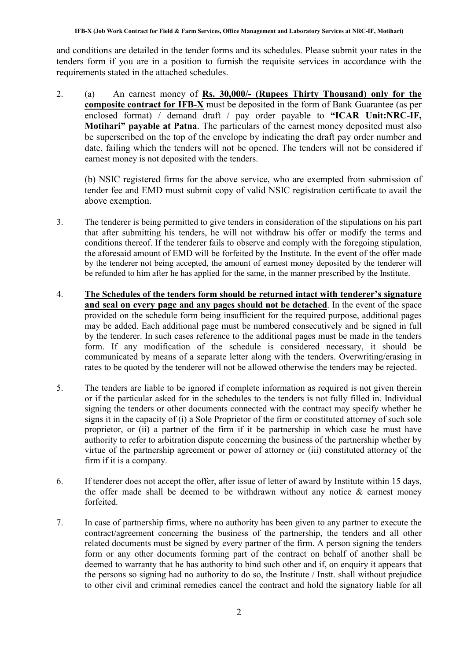and conditions are detailed in the tender forms and its schedules. Please submit your rates in the tenders form if you are in a position to furnish the requisite services in accordance with the requirements stated in the attached schedules.

2. (a) An earnest money of Rs. 30,000/- (Rupees Thirty Thousand) only for the composite contract for IFB-X must be deposited in the form of Bank Guarantee (as per enclosed format) / demand draft / pay order payable to "ICAR Unit:NRC-IF, Motihari" payable at Patna. The particulars of the earnest money deposited must also be superscribed on the top of the envelope by indicating the draft pay order number and date, failing which the tenders will not be opened. The tenders will not be considered if earnest money is not deposited with the tenders.

(b) NSIC registered firms for the above service, who are exempted from submission of tender fee and EMD must submit copy of valid NSIC registration certificate to avail the above exemption.

- 3. The tenderer is being permitted to give tenders in consideration of the stipulations on his part that after submitting his tenders, he will not withdraw his offer or modify the terms and conditions thereof. If the tenderer fails to observe and comply with the foregoing stipulation, the aforesaid amount of EMD will be forfeited by the Institute. In the event of the offer made by the tenderer not being accepted, the amount of earnest money deposited by the tenderer will be refunded to him after he has applied for the same, in the manner prescribed by the Institute.
- 4. The Schedules of the tenders form should be returned intact with tenderer's signature and seal on every page and any pages should not be detached. In the event of the space provided on the schedule form being insufficient for the required purpose, additional pages may be added. Each additional page must be numbered consecutively and be signed in full by the tenderer. In such cases reference to the additional pages must be made in the tenders form. If any modification of the schedule is considered necessary, it should be communicated by means of a separate letter along with the tenders. Overwriting/erasing in rates to be quoted by the tenderer will not be allowed otherwise the tenders may be rejected.
- 5. The tenders are liable to be ignored if complete information as required is not given therein or if the particular asked for in the schedules to the tenders is not fully filled in. Individual signing the tenders or other documents connected with the contract may specify whether he signs it in the capacity of (i) a Sole Proprietor of the firm or constituted attorney of such sole proprietor, or (ii) a partner of the firm if it be partnership in which case he must have authority to refer to arbitration dispute concerning the business of the partnership whether by virtue of the partnership agreement or power of attorney or (iii) constituted attorney of the firm if it is a company.
- 6. If tenderer does not accept the offer, after issue of letter of award by Institute within 15 days, the offer made shall be deemed to be withdrawn without any notice  $\&$  earnest money forfeited.
- 7. In case of partnership firms, where no authority has been given to any partner to execute the contract/agreement concerning the business of the partnership, the tenders and all other related documents must be signed by every partner of the firm. A person signing the tenders form or any other documents forming part of the contract on behalf of another shall be deemed to warranty that he has authority to bind such other and if, on enquiry it appears that the persons so signing had no authority to do so, the Institute / Instt. shall without prejudice to other civil and criminal remedies cancel the contract and hold the signatory liable for all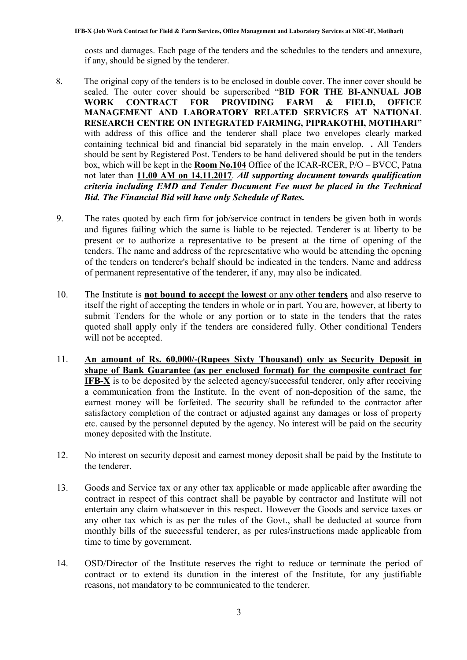costs and damages. Each page of the tenders and the schedules to the tenders and annexure, if any, should be signed by the tenderer.

- 8. The original copy of the tenders is to be enclosed in double cover. The inner cover should be sealed. The outer cover should be superscribed "BID FOR THE BI-ANNUAL JOB WORK CONTRACT FOR PROVIDING FARM & FIELD, OFFICE MANAGEMENT AND LABORATORY RELATED SERVICES AT NATIONAL RESEARCH CENTRE ON INTEGRATED FARMING, PIPRAKOTHI, MOTIHARI" with address of this office and the tenderer shall place two envelopes clearly marked containing technical bid and financial bid separately in the main envelop. *.* All Tenders should be sent by Registered Post. Tenders to be hand delivered should be put in the tenders box, which will be kept in the **Room No.104** Office of the ICAR-RCER, P/O – BVCC, Patna not later than 11.00 AM on 14.11.2017. *All supporting document towards qualification criteria including EMD and Tender Document Fee must be placed in the Technical Bid. The Financial Bid will have only Schedule of Rates.*
- 9. The rates quoted by each firm for job/service contract in tenders be given both in words and figures failing which the same is liable to be rejected. Tenderer is at liberty to be present or to authorize a representative to be present at the time of opening of the tenders. The name and address of the representative who would be attending the opening of the tenders on tenderer's behalf should be indicated in the tenders. Name and address of permanent representative of the tenderer, if any, may also be indicated.
- 10. The Institute is not bound to accept the lowest or any other tenders and also reserve to itself the right of accepting the tenders in whole or in part. You are, however, at liberty to submit Tenders for the whole or any portion or to state in the tenders that the rates quoted shall apply only if the tenders are considered fully. Other conditional Tenders will not be accepted.
- 11. An amount of Rs. 60,000/-(Rupees Sixty Thousand) only as Security Deposit in shape of Bank Guarantee (as per enclosed format) for the composite contract for IFB-X is to be deposited by the selected agency/successful tenderer, only after receiving a communication from the Institute. In the event of non-deposition of the same, the earnest money will be forfeited. The security shall be refunded to the contractor after satisfactory completion of the contract or adjusted against any damages or loss of property etc. caused by the personnel deputed by the agency. No interest will be paid on the security money deposited with the Institute.
- 12. No interest on security deposit and earnest money deposit shall be paid by the Institute to the tenderer.
- 13. Goods and Service tax or any other tax applicable or made applicable after awarding the contract in respect of this contract shall be payable by contractor and Institute will not entertain any claim whatsoever in this respect. However the Goods and service taxes or any other tax which is as per the rules of the Govt., shall be deducted at source from monthly bills of the successful tenderer, as per rules/instructions made applicable from time to time by government.
- 14. OSD/Director of the Institute reserves the right to reduce or terminate the period of contract or to extend its duration in the interest of the Institute, for any justifiable reasons, not mandatory to be communicated to the tenderer.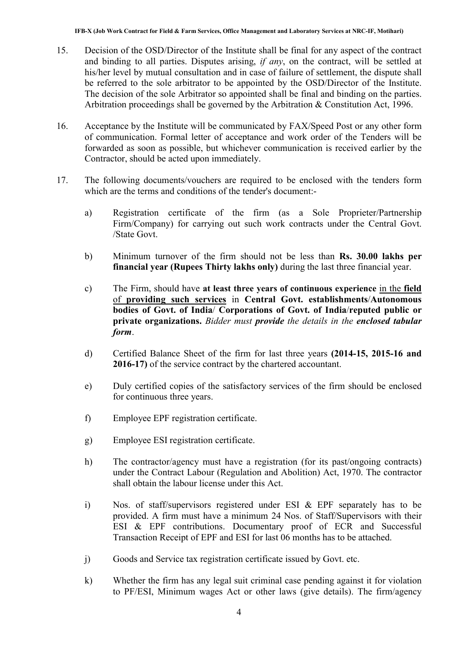- 15. Decision of the OSD/Director of the Institute shall be final for any aspect of the contract and binding to all parties. Disputes arising, *if any*, on the contract, will be settled at his/her level by mutual consultation and in case of failure of settlement, the dispute shall be referred to the sole arbitrator to be appointed by the OSD/Director of the Institute. The decision of the sole Arbitrator so appointed shall be final and binding on the parties. Arbitration proceedings shall be governed by the Arbitration & Constitution Act, 1996.
- 16. Acceptance by the Institute will be communicated by FAX/Speed Post or any other form of communication. Formal letter of acceptance and work order of the Tenders will be forwarded as soon as possible, but whichever communication is received earlier by the Contractor, should be acted upon immediately.
- 17. The following documents/vouchers are required to be enclosed with the tenders form which are the terms and conditions of the tender's document:
	- a) Registration certificate of the firm (as a Sole Proprieter/Partnership Firm/Company) for carrying out such work contracts under the Central Govt. /State Govt.
	- b) Minimum turnover of the firm should not be less than Rs. 30.00 lakhs per financial year (Rupees Thirty lakhs only) during the last three financial year.
	- c) The Firm, should have at least three years of continuous experience in the field of providing such services in Central Govt. establishments/Autonomous bodies of Govt. of India/ Corporations of Govt. of India/reputed public or private organizations. *Bidder must provide the details in the enclosed tabular form*.
	- d) Certified Balance Sheet of the firm for last three years (2014-15, 2015-16 and 2016-17) of the service contract by the chartered accountant.
	- e) Duly certified copies of the satisfactory services of the firm should be enclosed for continuous three years.
	- f) Employee EPF registration certificate.
	- g) Employee ESI registration certificate.
	- h) The contractor/agency must have a registration (for its past/ongoing contracts) under the Contract Labour (Regulation and Abolition) Act, 1970. The contractor shall obtain the labour license under this Act.
	- i) Nos. of staff/supervisors registered under ESI & EPF separately has to be provided. A firm must have a minimum 24 Nos. of Staff/Supervisors with their ESI & EPF contributions. Documentary proof of ECR and Successful Transaction Receipt of EPF and ESI for last 06 months has to be attached.
	- j) Goods and Service tax registration certificate issued by Govt. etc.
	- k) Whether the firm has any legal suit criminal case pending against it for violation to PF/ESI, Minimum wages Act or other laws (give details). The firm/agency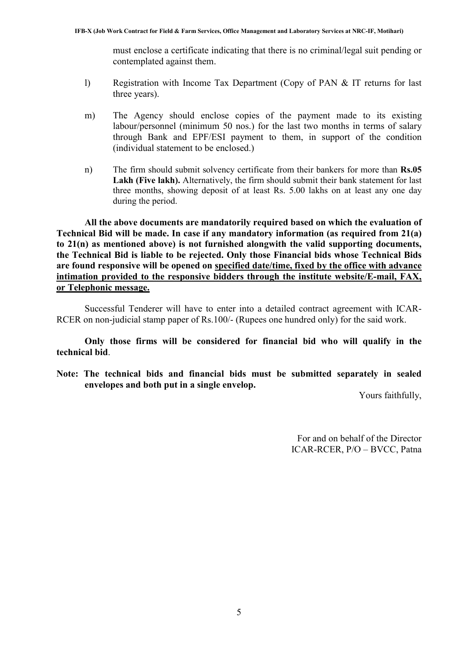must enclose a certificate indicating that there is no criminal/legal suit pending or contemplated against them.

- l) Registration with Income Tax Department (Copy of PAN & IT returns for last three years).
- m) The Agency should enclose copies of the payment made to its existing labour/personnel (minimum 50 nos.) for the last two months in terms of salary through Bank and EPF/ESI payment to them, in support of the condition (individual statement to be enclosed.)
- n) The firm should submit solvency certificate from their bankers for more than Rs.05 Lakh (Five lakh). Alternatively, the firm should submit their bank statement for last three months, showing deposit of at least Rs. 5.00 lakhs on at least any one day during the period.

All the above documents are mandatorily required based on which the evaluation of Technical Bid will be made. In case if any mandatory information (as required from 21(a) to 21(n) as mentioned above) is not furnished alongwith the valid supporting documents, the Technical Bid is liable to be rejected. Only those Financial bids whose Technical Bids are found responsive will be opened on specified date/time, fixed by the office with advance intimation provided to the responsive bidders through the institute website/E-mail, FAX, or Telephonic message.

Successful Tenderer will have to enter into a detailed contract agreement with ICAR-RCER on non-judicial stamp paper of Rs.100/- (Rupees one hundred only) for the said work.

Only those firms will be considered for financial bid who will qualify in the technical bid.

Note: The technical bids and financial bids must be submitted separately in sealed envelopes and both put in a single envelop.

Yours faithfully,

For and on behalf of the Director ICAR-RCER, P/O – BVCC, Patna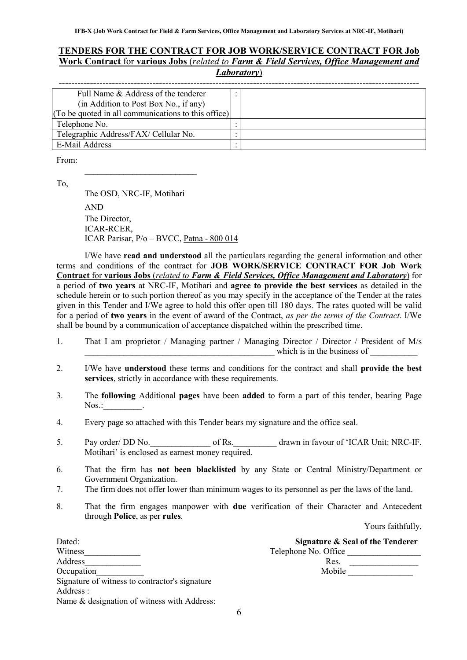### TENDERS FOR THE CONTRACT FOR JOB WORK/SERVICE CONTRACT FOR Job Work Contract for various Jobs (*related to Farm & Field Services, Office Management and Laboratory*)

| Full Name & Address of the tenderer                 |  |
|-----------------------------------------------------|--|
| (in Addition to Post Box No., if any)               |  |
| (To be quoted in all communications to this office) |  |
| Telephone No.                                       |  |
| Telegraphic Address/FAX/ Cellular No.               |  |
| E-Mail Address                                      |  |

From:

To,

The OSD, NRC-IF, Motihari AND The Director, ICAR-RCER, ICAR Parisar, P/o – BVCC, Patna - 800 014

 $\frac{1}{2}$  ,  $\frac{1}{2}$  ,  $\frac{1}{2}$  ,  $\frac{1}{2}$  ,  $\frac{1}{2}$  ,  $\frac{1}{2}$  ,  $\frac{1}{2}$  ,  $\frac{1}{2}$  ,  $\frac{1}{2}$  ,  $\frac{1}{2}$  ,  $\frac{1}{2}$  ,  $\frac{1}{2}$  ,  $\frac{1}{2}$  ,  $\frac{1}{2}$  ,  $\frac{1}{2}$  ,  $\frac{1}{2}$  ,  $\frac{1}{2}$  ,  $\frac{1}{2}$  ,  $\frac{1$ 

I/We have read and understood all the particulars regarding the general information and other terms and conditions of the contract for JOB WORK/SERVICE CONTRACT FOR Job Work Contract for various Jobs (*related to Farm & Field Services, Office Management and Laboratory*) for a period of two years at NRC-IF, Motihari and agree to provide the best services as detailed in the schedule herein or to such portion thereof as you may specify in the acceptance of the Tender at the rates given in this Tender and I/We agree to hold this offer open till 180 days. The rates quoted will be valid for a period of two years in the event of award of the Contract, *as per the terms of the Contract*. I/We shall be bound by a communication of acceptance dispatched within the prescribed time.

- 1. That I am proprietor / Managing partner / Managing Director / Director / President of M/s which is in the business of
- 2. I/We have understood these terms and conditions for the contract and shall provide the best services, strictly in accordance with these requirements.
- 3. The following Additional pages have been added to form a part of this tender, bearing Page  $N$ os.:  $\qquad \qquad$ .
- 4. Every page so attached with this Tender bears my signature and the office seal.
- 5. Pay order/ DD No. \_\_\_\_\_\_\_\_\_\_\_\_\_\_\_\_\_\_\_\_ of Rs. \_\_\_\_\_\_\_\_\_\_ drawn in favour of 'ICAR Unit: NRC-IF, Motihari' is enclosed as earnest money required.
- 6. That the firm has not been blacklisted by any State or Central Ministry/Department or Government Organization.
- 7. The firm does not offer lower than minimum wages to its personnel as per the laws of the land.
- 8. That the firm engages manpower with due verification of their Character and Antecedent through Police, as per rules.

Yours faithfully,

| Dated:                                         | Signature & Seal of the Tenderer |
|------------------------------------------------|----------------------------------|
| Witness                                        | Telephone No. Office             |
| Address                                        | Res.                             |
| Occupation                                     | Mobile                           |
| Signature of witness to contractor's signature |                                  |
| Address :                                      |                                  |
| Name & designation of witness with Address:    |                                  |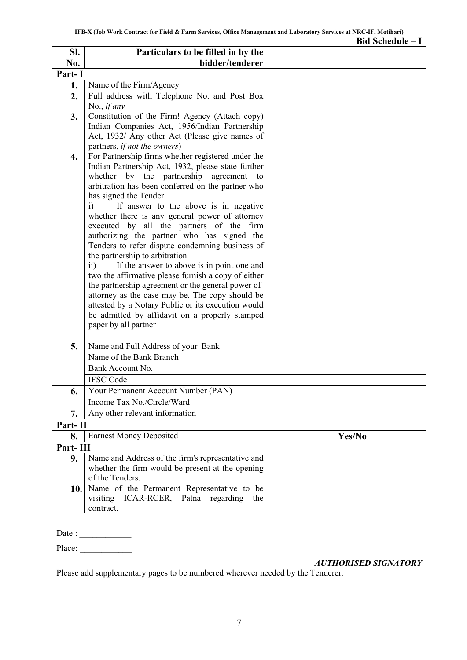|          |                                                                                               | Bid Schedule $-I$ |
|----------|-----------------------------------------------------------------------------------------------|-------------------|
| SI.      | Particulars to be filled in by the                                                            |                   |
| No.      | bidder/tenderer                                                                               |                   |
| Part-I   |                                                                                               |                   |
| 1.       | Name of the Firm/Agency                                                                       |                   |
| 2.       | Full address with Telephone No. and Post Box                                                  |                   |
|          | No., <i>if any</i>                                                                            |                   |
| 3.       | Constitution of the Firm! Agency (Attach copy)                                                |                   |
|          | Indian Companies Act, 1956/Indian Partnership                                                 |                   |
|          | Act, 1932/ Any other Act (Please give names of                                                |                   |
|          | partners, if not the owners)                                                                  |                   |
| 4.       | For Partnership firms whether registered under the                                            |                   |
|          | Indian Partnership Act, 1932, please state further                                            |                   |
|          | whether by the partnership agreement to                                                       |                   |
|          | arbitration has been conferred on the partner who                                             |                   |
|          | has signed the Tender.                                                                        |                   |
|          | If answer to the above is in negative<br>i)<br>whether there is any general power of attorney |                   |
|          | executed by all the partners of the firm                                                      |                   |
|          | authorizing the partner who has signed the                                                    |                   |
|          | Tenders to refer dispute condemning business of                                               |                   |
|          | the partnership to arbitration.                                                               |                   |
|          | If the answer to above is in point one and<br>$\overline{11}$                                 |                   |
|          | two the affirmative please furnish a copy of either                                           |                   |
|          | the partnership agreement or the general power of                                             |                   |
|          | attorney as the case may be. The copy should be                                               |                   |
|          | attested by a Notary Public or its execution would                                            |                   |
|          | be admitted by affidavit on a properly stamped                                                |                   |
|          | paper by all partner                                                                          |                   |
|          |                                                                                               |                   |
| 5.       | Name and Full Address of your Bank                                                            |                   |
|          | Name of the Bank Branch                                                                       |                   |
|          | Bank Account No.                                                                              |                   |
|          | <b>IFSC Code</b>                                                                              |                   |
| 6.       | Your Permanent Account Number (PAN)                                                           |                   |
|          | Income Tax No./Circle/Ward                                                                    |                   |
| 7.       | Any other relevant information                                                                |                   |
| Part-II  |                                                                                               |                   |
| 8.       | <b>Earnest Money Deposited</b>                                                                | Yes/No            |
| Part-III |                                                                                               |                   |
| 9.       | Name and Address of the firm's representative and                                             |                   |
|          | whether the firm would be present at the opening                                              |                   |
|          | of the Tenders.                                                                               |                   |
| 10.      | Name of the Permanent Representative to be                                                    |                   |
|          | visiting ICAR-RCER, Patna regarding<br>the                                                    |                   |
|          | contract.                                                                                     |                   |

Date : \_\_\_\_\_\_\_\_\_\_\_\_

Place: \_\_\_\_\_\_\_\_\_\_\_\_

*AUTHORISED SIGNATORY*

Please add supplementary pages to be numbered wherever needed by the Tenderer.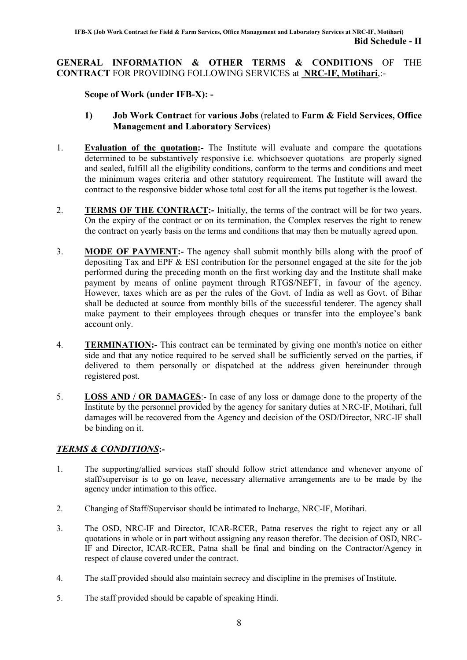### GENERAL INFORMATION & OTHER TERMS & CONDITIONS OF THE CONTRACT FOR PROVIDING FOLLOWING SERVICES at NRC-IF, Motihari,:-

## Scope of Work (under IFB-X): -

- 1) Job Work Contract for various Jobs (related to Farm & Field Services, Office Management and Laboratory Services)
- 1. Evaluation of the quotation:- The Institute will evaluate and compare the quotations determined to be substantively responsive i.e. whichsoever quotations are properly signed and sealed, fulfill all the eligibility conditions, conform to the terms and conditions and meet the minimum wages criteria and other statutory requirement. The Institute will award the contract to the responsive bidder whose total cost for all the items put together is the lowest.
- 2. **TERMS OF THE CONTRACT:-** Initially, the terms of the contract will be for two years. On the expiry of the contract or on its termination, the Complex reserves the right to renew the contract on yearly basis on the terms and conditions that may then be mutually agreed upon.
- 3. MODE OF PAYMENT:- The agency shall submit monthly bills along with the proof of depositing Tax and EPF & ESI contribution for the personnel engaged at the site for the job performed during the preceding month on the first working day and the Institute shall make payment by means of online payment through RTGS/NEFT, in favour of the agency. However, taxes which are as per the rules of the Govt. of India as well as Govt. of Bihar shall be deducted at source from monthly bills of the successful tenderer. The agency shall make payment to their employees through cheques or transfer into the employee's bank account only.
- 4. TERMINATION:- This contract can be terminated by giving one month's notice on either side and that any notice required to be served shall be sufficiently served on the parties, if delivered to them personally or dispatched at the address given hereinunder through registered post.
- 5. LOSS AND / OR DAMAGES:- In case of any loss or damage done to the property of the Institute by the personnel provided by the agency for sanitary duties at NRC-IF, Motihari, full damages will be recovered from the Agency and decision of the OSD/Director, NRC-IF shall be binding on it.

# *TERMS & CONDITIONS*:-

- 1. The supporting/allied services staff should follow strict attendance and whenever anyone of staff/supervisor is to go on leave, necessary alternative arrangements are to be made by the agency under intimation to this office.
- 2. Changing of Staff/Supervisor should be intimated to Incharge, NRC-IF, Motihari.
- 3. The OSD, NRC-IF and Director, ICAR-RCER, Patna reserves the right to reject any or all quotations in whole or in part without assigning any reason therefor. The decision of OSD, NRC-IF and Director, ICAR-RCER, Patna shall be final and binding on the Contractor/Agency in respect of clause covered under the contract.
- 4. The staff provided should also maintain secrecy and discipline in the premises of Institute.
- 5. The staff provided should be capable of speaking Hindi.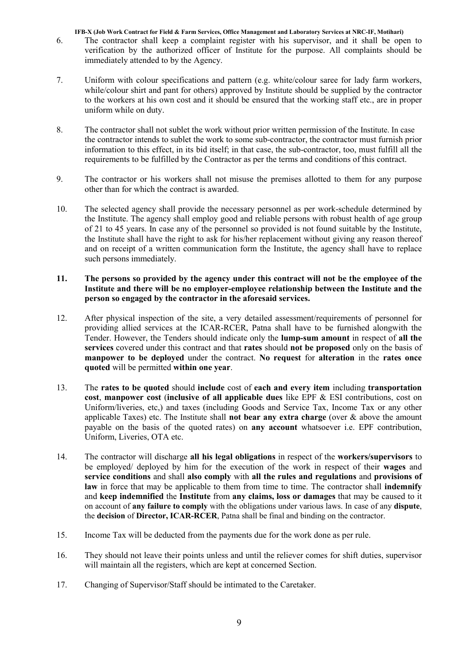- 6. The contractor shall keep a complaint register with his supervisor, and it shall be open to verification by the authorized officer of Institute for the purpose. All complaints should be immediately attended to by the Agency.
- 7. Uniform with colour specifications and pattern (e.g. white/colour saree for lady farm workers, while/colour shirt and pant for others) approved by Institute should be supplied by the contractor to the workers at his own cost and it should be ensured that the working staff etc., are in proper uniform while on duty.
- 8. The contractor shall not sublet the work without prior written permission of the Institute. In case the contractor intends to sublet the work to some sub-contractor, the contractor must furnish prior information to this effect, in its bid itself; in that case, the sub-contractor, too, must fulfill all the requirements to be fulfilled by the Contractor as per the terms and conditions of this contract.
- 9. The contractor or his workers shall not misuse the premises allotted to them for any purpose other than for which the contract is awarded.
- 10. The selected agency shall provide the necessary personnel as per work-schedule determined by the Institute. The agency shall employ good and reliable persons with robust health of age group of 21 to 45 years. In case any of the personnel so provided is not found suitable by the Institute, the Institute shall have the right to ask for his/her replacement without giving any reason thereof and on receipt of a written communication form the Institute, the agency shall have to replace such persons immediately.

#### 11. The persons so provided by the agency under this contract will not be the employee of the Institute and there will be no employer-employee relationship between the Institute and the person so engaged by the contractor in the aforesaid services.

- 12. After physical inspection of the site, a very detailed assessment/requirements of personnel for providing allied services at the ICAR-RCER, Patna shall have to be furnished alongwith the Tender. However, the Tenders should indicate only the lump-sum amount in respect of all the services covered under this contract and that rates should not be proposed only on the basis of manpower to be deployed under the contract. No request for alteration in the rates once quoted will be permitted within one year.
- 13. The rates to be quoted should include cost of each and every item including transportation cost, manpower cost (inclusive of all applicable dues like EPF & ESI contributions, cost on Uniform/liveries, etc,) and taxes (including Goods and Service Tax, Income Tax or any other applicable Taxes) etc. The Institute shall **not bear any extra charge** (over  $\&$  above the amount payable on the basis of the quoted rates) on any account whatsoever i.e. EPF contribution, Uniform, Liveries, OTA etc.
- 14. The contractor will discharge all his legal obligations in respect of the workers/supervisors to be employed/ deployed by him for the execution of the work in respect of their wages and service conditions and shall also comply with all the rules and regulations and provisions of law in force that may be applicable to them from time to time. The contractor shall indemnify and keep indemnified the Institute from any claims, loss or damages that may be caused to it on account of any failure to comply with the obligations under various laws. In case of any dispute, the decision of Director, ICAR-RCER, Patna shall be final and binding on the contractor.
- 15. Income Tax will be deducted from the payments due for the work done as per rule.
- 16. They should not leave their points unless and until the reliever comes for shift duties, supervisor will maintain all the registers, which are kept at concerned Section.
- 17. Changing of Supervisor/Staff should be intimated to the Caretaker.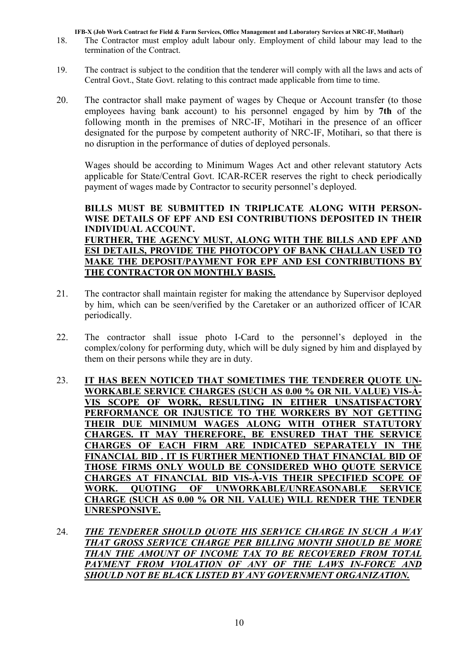- 18. The Contractor must employ adult labour only. Employment of child labour may lead to the termination of the Contract.
- 19. The contract is subject to the condition that the tenderer will comply with all the laws and acts of Central Govt., State Govt. relating to this contract made applicable from time to time.
- 20. The contractor shall make payment of wages by Cheque or Account transfer (to those employees having bank account) to his personnel engaged by him by 7th of the following month in the premises of NRC-IF, Motihari in the presence of an officer designated for the purpose by competent authority of NRC-IF, Motihari, so that there is no disruption in the performance of duties of deployed personals.

Wages should be according to Minimum Wages Act and other relevant statutory Acts applicable for State/Central Govt. ICAR-RCER reserves the right to check periodically payment of wages made by Contractor to security personnel's deployed.

BILLS MUST BE SUBMITTED IN TRIPLICATE ALONG WITH PERSON-WISE DETAILS OF EPF AND ESI CONTRIBUTIONS DEPOSITED IN THEIR INDIVIDUAL ACCOUNT. FURTHER, THE AGENCY MUST, ALONG WITH THE BILLS AND EPF AND

ESI DETAILS, PROVIDE THE PHOTOCOPY OF BANK CHALLAN USED TO MAKE THE DEPOSIT/PAYMENT FOR EPF AND ESI CONTRIBUTIONS BY THE CONTRACTOR ON MONTHLY BASIS.

- 21. The contractor shall maintain register for making the attendance by Supervisor deployed by him, which can be seen/verified by the Caretaker or an authorized officer of ICAR periodically.
- 22. The contractor shall issue photo I-Card to the personnel's deployed in the complex/colony for performing duty, which will be duly signed by him and displayed by them on their persons while they are in duty.
- 23. IT HAS BEEN NOTICED THAT SOMETIMES THE TENDERER QUOTE UN-WORKABLE SERVICE CHARGES (SUCH AS 0.00 % OR NIL VALUE) VIS-À-VIS SCOPE OF WORK, RESULTING IN EITHER UNSATISFACTORY PERFORMANCE OR INJUSTICE TO THE WORKERS BY NOT GETTING THEIR DUE MINIMUM WAGES ALONG WITH OTHER STATUTORY CHARGES. IT MAY THEREFORE, BE ENSURED THAT THE SERVICE CHARGES OF EACH FIRM ARE INDICATED SEPARATELY IN THE FINANCIAL BID . IT IS FURTHER MENTIONED THAT FINANCIAL BID OF THOSE FIRMS ONLY WOULD BE CONSIDERED WHO QUOTE SERVICE CHARGES AT FINANCIAL BID VIS-À-VIS THEIR SPECIFIED SCOPE OF WORK. QUOTING OF UNWORKABLE/UNREASONABLE SERVICE CHARGE (SUCH AS 0.00 % OR NIL VALUE) WILL RENDER THE TENDER UNRESPONSIVE.
- 24. *THE TENDERER SHOULD QUOTE HIS SERVICE CHARGE IN SUCH A WAY THAT GROSS SERVICE CHARGE PER BILLING MONTH SHOULD BE MORE THAN THE AMOUNT OF INCOME TAX TO BE RECOVERED FROM TOTAL*  PAYMENT FROM VIOLATION OF ANY OF THE LAWS IN-FORCE AND *SHOULD NOT BE BLACK LISTED BY ANY GOVERNMENT ORGANIZATION.*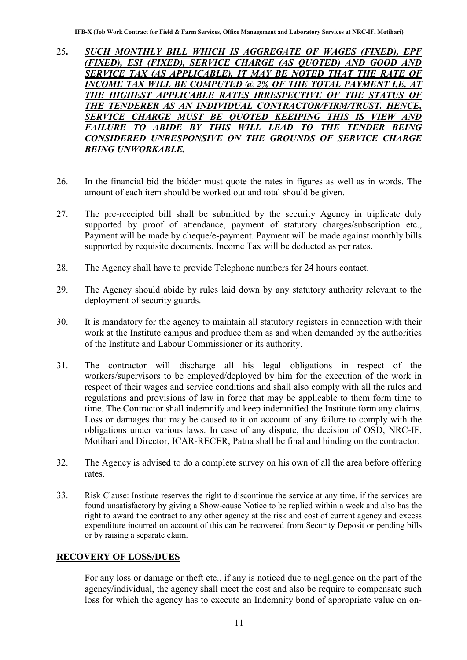- 25. *SUCH MONTHLY BILL WHICH IS AGGREGATE OF WAGES (FIXED), EPF (FIXED), ESI (FIXED), SERVICE CHARGE (AS QUOTED) AND GOOD AND*  **SERVICE TAX (AS APPLICABLE). IT MAY BE NOTED THAT THE RATE OF** *INCOME TAX WILL BE COMPUTED @ 2% OF THE TOTAL PAYMENT I.E. AT*  THE HIGHEST APPLICABLE RATES IRRESPECTIVE OF THE STATUS OF *THE TENDERER AS AN INDIVIDUAL CONTRACTOR/FIRM/TRUST. HENCE, SERVICE CHARGE MUST BE QUOTED KEEIPING THIS IS VIEW AND FAILURE TO ABIDE BY THIS WILL LEAD TO THE TENDER BEING CONSIDERED UNRESPONSIVE ON THE GROUNDS OF SERVICE CHARGE BEING UNWORKABLE.*
- 26. In the financial bid the bidder must quote the rates in figures as well as in words. The amount of each item should be worked out and total should be given.
- 27. The pre-receipted bill shall be submitted by the security Agency in triplicate duly supported by proof of attendance, payment of statutory charges/subscription etc., Payment will be made by cheque/e-payment. Payment will be made against monthly bills supported by requisite documents. Income Tax will be deducted as per rates.
- 28. The Agency shall have to provide Telephone numbers for 24 hours contact.
- 29. The Agency should abide by rules laid down by any statutory authority relevant to the deployment of security guards.
- 30. It is mandatory for the agency to maintain all statutory registers in connection with their work at the Institute campus and produce them as and when demanded by the authorities of the Institute and Labour Commissioner or its authority.
- 31. The contractor will discharge all his legal obligations in respect of the workers/supervisors to be employed/deployed by him for the execution of the work in respect of their wages and service conditions and shall also comply with all the rules and regulations and provisions of law in force that may be applicable to them form time to time. The Contractor shall indemnify and keep indemnified the Institute form any claims. Loss or damages that may be caused to it on account of any failure to comply with the obligations under various laws. In case of any dispute, the decision of OSD, NRC-IF, Motihari and Director, ICAR-RECER, Patna shall be final and binding on the contractor.
- 32. The Agency is advised to do a complete survey on his own of all the area before offering rates.
- 33. Risk Clause: Institute reserves the right to discontinue the service at any time, if the services are found unsatisfactory by giving a Show-cause Notice to be replied within a week and also has the right to award the contract to any other agency at the risk and cost of current agency and excess expenditure incurred on account of this can be recovered from Security Deposit or pending bills or by raising a separate claim.

### RECOVERY OF LOSS/DUES

For any loss or damage or theft etc., if any is noticed due to negligence on the part of the agency/individual, the agency shall meet the cost and also be require to compensate such loss for which the agency has to execute an Indemnity bond of appropriate value on on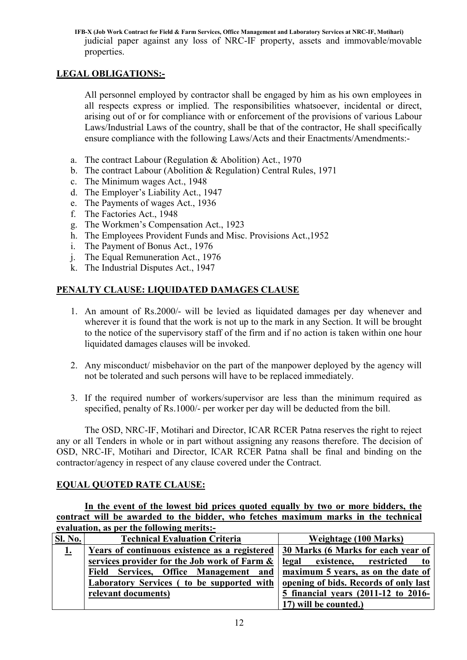IFB-X (Job Work Contract for Field & Farm Services, Office Management and Laboratory Services at NRC-IF, Motihari) judicial paper against any loss of NRC-IF property, assets and immovable/movable properties.

## LEGAL OBLIGATIONS:-

All personnel employed by contractor shall be engaged by him as his own employees in all respects express or implied. The responsibilities whatsoever, incidental or direct, arising out of or for compliance with or enforcement of the provisions of various Labour Laws/Industrial Laws of the country, shall be that of the contractor, He shall specifically ensure compliance with the following Laws/Acts and their Enactments/Amendments:-

- a. The contract Labour (Regulation & Abolition) Act., 1970
- b. The contract Labour (Abolition & Regulation) Central Rules, 1971
- c. The Minimum wages Act., 1948
- d. The Employer's Liability Act., 1947
- e. The Payments of wages Act., 1936
- f. The Factories Act., 1948
- g. The Workmen's Compensation Act., 1923
- h. The Employees Provident Funds and Misc. Provisions Act.,1952
- i. The Payment of Bonus Act., 1976
- j. The Equal Remuneration Act., 1976
- k. The Industrial Disputes Act., 1947

# PENALTY CLAUSE: LIQUIDATED DAMAGES CLAUSE

- 1. An amount of Rs.2000/- will be levied as liquidated damages per day whenever and wherever it is found that the work is not up to the mark in any Section. It will be brought to the notice of the supervisory staff of the firm and if no action is taken within one hour liquidated damages clauses will be invoked.
- 2. Any misconduct/ misbehavior on the part of the manpower deployed by the agency will not be tolerated and such persons will have to be replaced immediately.
- 3. If the required number of workers/supervisor are less than the minimum required as specified, penalty of Rs.1000/- per worker per day will be deducted from the bill.

The OSD, NRC-IF, Motihari and Director, ICAR RCER Patna reserves the right to reject any or all Tenders in whole or in part without assigning any reasons therefore. The decision of OSD, NRC-IF, Motihari and Director, ICAR RCER Patna shall be final and binding on the contractor/agency in respect of any clause covered under the Contract.

### EQUAL QUOTED RATE CLAUSE:

In the event of the lowest bid prices quoted equally by two or more bidders, the contract will be awarded to the bidder, who fetches maximum marks in the technical evaluation, as per the following merits:-

| Sl. No.   | <b>Technical Evaluation Criteria</b>                                       | Weightage (100 Marks)                 |
|-----------|----------------------------------------------------------------------------|---------------------------------------|
| <u>1.</u> | Years of continuous existence as a registered                              | 30 Marks (6 Marks for each year of    |
|           | services provider for the Job work of Farm &                               | legal existence, restricted to        |
|           | Field Services, Office Management and   maximum 5 years, as on the date of |                                       |
|           | Laboratory Services (to be supported with                                  | opening of bids. Records of only last |
|           | relevant documents)                                                        | 5 financial years (2011-12 to 2016-   |
|           |                                                                            | 17) will be counted.)                 |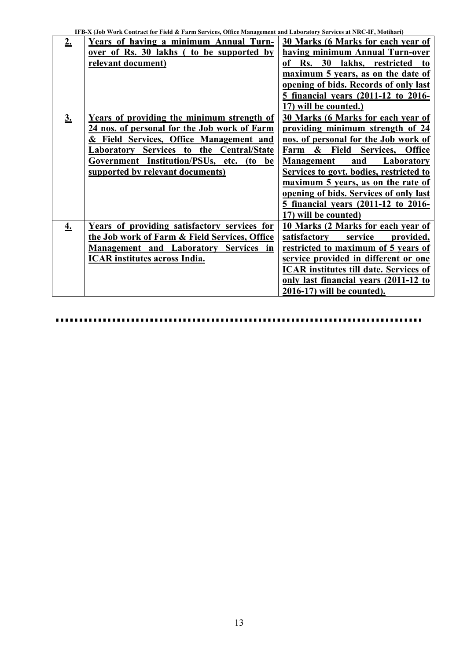| 2.                | Years of having a minimum Annual Turn-        | 30 Marks (6 Marks for each year of             |
|-------------------|-----------------------------------------------|------------------------------------------------|
|                   | over of Rs. 30 lakhs ( to be supported by     | having minimum Annual Turn-over                |
|                   | relevant document)                            | <b>Rs.</b> 30<br>lakhs, restricted<br>of<br>to |
|                   |                                               | maximum 5 years, as on the date of             |
|                   |                                               | opening of bids. Records of only last          |
|                   |                                               | 5 financial years (2011-12 to 2016-            |
|                   |                                               | 17) will be counted.)                          |
| $\underline{3}$ . | Years of providing the minimum strength of    | 30 Marks (6 Marks for each year of             |
|                   | 24 nos. of personal for the Job work of Farm  | providing minimum strength of 24               |
|                   | & Field Services, Office Management and       | nos. of personal for the Job work of           |
|                   | Laboratory Services to the Central/State      | & Field Services, Office<br>Farm               |
|                   | Government Institution/PSUs, etc. (to be      | and Laboratory<br><b>Management</b>            |
|                   | supported by relevant documents)              | Services to govt. bodies, restricted to        |
|                   |                                               | maximum 5 years, as on the rate of             |
|                   |                                               | opening of bids. Services of only last         |
|                   |                                               | 5 financial years (2011-12 to 2016-            |
|                   |                                               | 17) will be counted)                           |
| $\underline{4.}$  | Years of providing satisfactory services for  | 10 Marks (2 Marks for each year of             |
|                   | the Job work of Farm & Field Services, Office | service<br>satisfactory<br>provided,           |
|                   | Management and Laboratory Services in         | restricted to maximum of 5 years of            |
|                   | <b>ICAR</b> institutes across India.          | service provided in different or one           |
|                   |                                               | <b>ICAR</b> institutes till date. Services of  |
|                   |                                               | only last financial years (2011-12 to          |
|                   |                                               | 2016-17) will be counted).                     |

....................... ........................ . . . . . . . . . .  $\blacksquare$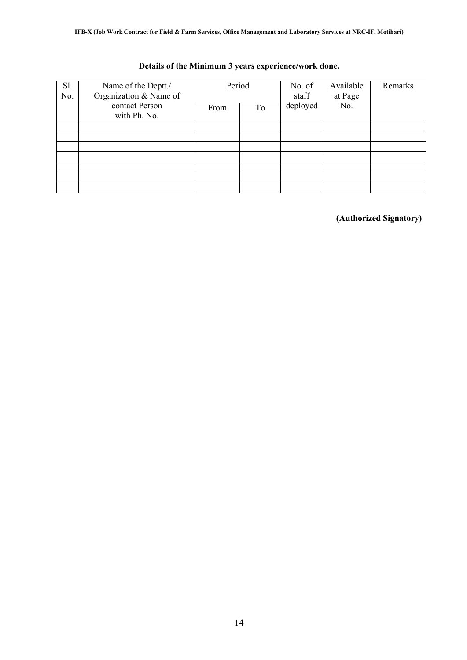| Sl.<br>No. | Name of the Deptt./<br>Organization & Name of | Period |    | No. of<br>staff | Available<br>at Page<br>No. | Remarks |
|------------|-----------------------------------------------|--------|----|-----------------|-----------------------------|---------|
|            | contact Person<br>with Ph. No.                | From   | To | deployed        |                             |         |
|            |                                               |        |    |                 |                             |         |
|            |                                               |        |    |                 |                             |         |
|            |                                               |        |    |                 |                             |         |
|            |                                               |        |    |                 |                             |         |
|            |                                               |        |    |                 |                             |         |
|            |                                               |        |    |                 |                             |         |
|            |                                               |        |    |                 |                             |         |

## Details of the Minimum 3 years experience/work done.

(Authorized Signatory)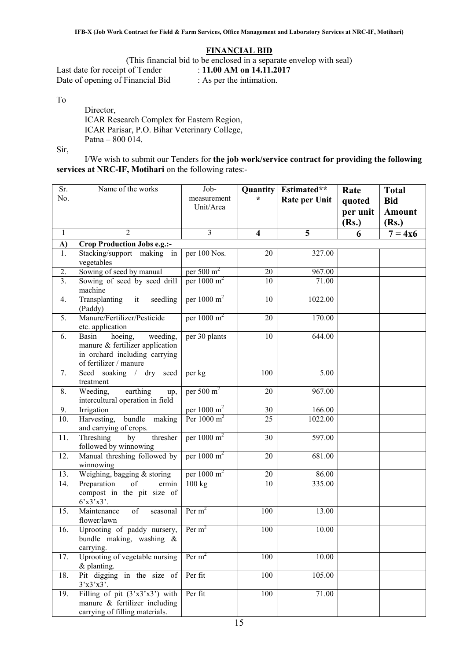#### FINANCIAL BID

(This financial bid to be enclosed in a separate envelop with seal)<br>t of Tender :  $11.00 \text{ AM}$  on  $14.11.2017$ 

Last date for receipt of Tender Date of opening of Financial Bid : As per the intimation.

To

Director, ICAR Research Complex for Eastern Region, ICAR Parisar, P.O. Bihar Veterinary College, Patna – 800 014.

Sir,

I/We wish to submit our Tenders for the job work/service contract for providing the following services at NRC-IF, Motihari on the following rates:-

| Sr.<br>No.     | Name of the works                                                                                                          | Job-<br>measurement<br>Unit/Area | Quantity<br>$\star$     | Estimated**<br><b>Rate per Unit</b> | Rate<br>quoted<br>per unit<br>(Rs.) | <b>Total</b><br><b>Bid</b><br><b>Amount</b><br>(Rs.) |
|----------------|----------------------------------------------------------------------------------------------------------------------------|----------------------------------|-------------------------|-------------------------------------|-------------------------------------|------------------------------------------------------|
| $\mathbf{1}$   | $\overline{2}$                                                                                                             | $\overline{3}$                   | $\overline{\mathbf{4}}$ | $\overline{5}$                      | 6                                   | $7 = 4x6$                                            |
| A)             | Crop Production Jobs e.g.:-                                                                                                |                                  |                         |                                     |                                     |                                                      |
| 1.             | Stacking/support making in<br>vegetables                                                                                   | per 100 Nos.                     | 20                      | 327.00                              |                                     |                                                      |
| 2.             | Sowing of seed by manual                                                                                                   | per $500 \text{ m}^2$            | 20                      | 967.00                              |                                     |                                                      |
| 3 <sub>1</sub> | Sowing of seed by seed drill<br>machine                                                                                    | per $1000 \text{ m}^2$           | 10                      | 71.00                               |                                     |                                                      |
| 4.             | Transplanting<br>it<br>seedling<br>(Paddy)                                                                                 | per $1000 \text{ m}^2$           | 10                      | 1022.00                             |                                     |                                                      |
| 5.             | Manure/Fertilizer/Pesticide<br>etc. application                                                                            | per $1000 \text{ m}^2$           | 20                      | 170.00                              |                                     |                                                      |
| 6.             | Basin<br>hoeing,<br>weeding,<br>manure & fertilizer application<br>in orchard including carrying<br>of fertilizer / manure | per 30 plants                    | 10                      | 644.00                              |                                     |                                                      |
| 7.             | Seed soaking / dry seed<br>treatment                                                                                       | per kg                           | 100                     | 5.00                                |                                     |                                                      |
| 8.             | Weeding,<br>earthing<br>up,<br>intercultural operation in field                                                            | per 500 m <sup>2</sup>           | 20                      | 967.00                              |                                     |                                                      |
| 9.             | Irrigation                                                                                                                 | per $1000 \text{ m}^2$           | 30                      | 166.00                              |                                     |                                                      |
| 10.            | bundle making<br>Harvesting,<br>and carrying of crops.                                                                     | Per $1000 \text{ m}^2$           | 25                      | 1022.00                             |                                     |                                                      |
| 11.            | Threshing<br>by<br>thresher<br>followed by winnowing                                                                       | per $1000 \text{ m}^2$           | 30                      | 597.00                              |                                     |                                                      |
| 12.            | Manual threshing followed by<br>winnowing                                                                                  | per $1000 \text{ m}^2$           | 20                      | 681.00                              |                                     |                                                      |
| 13.            | Weighing, bagging & storing                                                                                                | per $1000 \text{ m}^2$           | 20                      | 86.00                               |                                     |                                                      |
| 14.            | Preparation<br>of<br>ermin<br>compost in the pit size of<br>6'x3'x3'.                                                      | 100 kg                           | 10                      | 335.00                              |                                     |                                                      |
| 15.            | Maintenance<br>of<br>seasonal<br>flower/lawn                                                                               | Per $m2$                         | 100                     | 13.00                               |                                     |                                                      |
| 16.            | Uprooting of paddy nursery, $\text{Per } m^2$<br>bundle making, washing $\&$<br>carrying.                                  |                                  | 100                     | 10.00                               |                                     |                                                      |
| 17.            | Uprooting of vegetable nursing<br>& planting.                                                                              | Per $m2$                         | 100                     | 10.00                               |                                     |                                                      |
| 18.            | Pit digging in the size of<br>3'x3'x3'.                                                                                    | Per fit                          | 100                     | 105.00                              |                                     |                                                      |
| 19.            | Filling of pit $(3'x3'x3')$ with<br>manure & fertilizer including<br>carrying of filling materials.                        | Per fit                          | 100                     | 71.00                               |                                     |                                                      |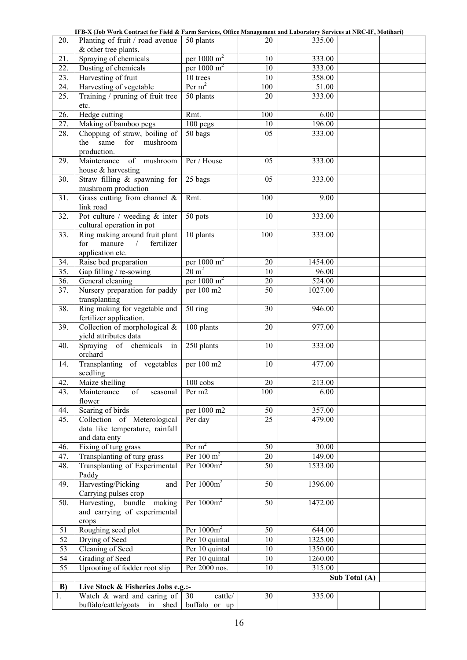|                 | TFB-A (J0D WOFK CONTACT IOF FIELD & FAFM SEFVICES, OTHCE MANAgement and Ladofatofy Sefvices at INKC-IF, MOUNAFI) |                        |     |                     |               |  |
|-----------------|------------------------------------------------------------------------------------------------------------------|------------------------|-----|---------------------|---------------|--|
| 20.             | Planting of fruit / road avenue                                                                                  | 50 plants              | 20  | 335.00              |               |  |
|                 | & other tree plants.                                                                                             |                        |     |                     |               |  |
| 21.             | Spraying of chemicals                                                                                            | per 1000 $m^2$         | 10  | 333.00              |               |  |
| 22.             | Dusting of chemicals                                                                                             | per $1000 \text{ m}^2$ | 10  | 333.00              |               |  |
| 23.             | Harvesting of fruit                                                                                              | 10 trees               | 10  | 358.00              |               |  |
| 24.             | Harvesting of vegetable                                                                                          | Per $m2$               | 100 | 51.00               |               |  |
| 25.             | Training / pruning of fruit tree                                                                                 | 50 plants              | 20  | 333.00              |               |  |
|                 | etc.                                                                                                             |                        |     |                     |               |  |
| 26.             | Hedge cutting                                                                                                    | Rmt.                   | 100 | 6.00                |               |  |
| 27.             | Making of bamboo pegs                                                                                            | 100 pegs               | 10  | 196.00              |               |  |
| 28.             | Chopping of straw, boiling of                                                                                    | 50 bags                | 05  | 333.00              |               |  |
|                 | same<br>the<br>for<br>mushroom                                                                                   |                        |     |                     |               |  |
|                 | production.                                                                                                      |                        |     |                     |               |  |
| 29.             | of mushroom<br>Maintenance                                                                                       | Per / House            | 05  | 333.00              |               |  |
|                 | house & harvesting                                                                                               |                        |     |                     |               |  |
| 30.             | Straw filling & spawning for                                                                                     | 25 bags                | 05  | 333.00              |               |  |
|                 | mushroom production                                                                                              |                        |     |                     |               |  |
| 31.             | Grass cutting from channel $\&$                                                                                  | Rmt.                   | 100 | 9.00                |               |  |
|                 | link road                                                                                                        |                        |     |                     |               |  |
| 32.             | Pot culture / weeding $&$ inter                                                                                  | 50 pots                | 10  | 333.00              |               |  |
|                 | cultural operation in pot                                                                                        |                        |     |                     |               |  |
| 33.             | Ring making around fruit plant                                                                                   | 10 plants              | 100 | 333.00              |               |  |
|                 | for<br>manure<br>fertilizer<br>$\sqrt{2}$                                                                        |                        |     |                     |               |  |
|                 | application etc.                                                                                                 |                        |     |                     |               |  |
| 34.             | Raise bed preparation                                                                                            | per $1000 \text{ m}^2$ | 20  | 1454.00             |               |  |
| 35.             | Gap filling / re-sowing                                                                                          | $20 \text{ m}^2$       | 10  | 96.00               |               |  |
| 36.             | General cleaning                                                                                                 | per 1000 $m^2$         | 20  | $\overline{524.00}$ |               |  |
| 37.             | Nursery preparation for paddy                                                                                    | per 100 m2             | 50  | 1027.00             |               |  |
|                 | transplanting                                                                                                    |                        |     |                     |               |  |
| 38.             | Ring making for vegetable and                                                                                    | 50 ring                | 30  | 946.00              |               |  |
|                 | fertilizer application.                                                                                          |                        |     |                     |               |  |
| 39.             | Collection of morphological $&$                                                                                  | 100 plants             | 20  | 977.00              |               |  |
|                 | yield attributes data                                                                                            |                        |     |                     |               |  |
| 40.             | of chemicals<br>Spraying<br>in                                                                                   | 250 plants             | 10  | 333.00              |               |  |
|                 | orchard                                                                                                          |                        |     |                     |               |  |
| 14.             | Transplanting of vegetables                                                                                      | per 100 m2             | 10  | 477.00              |               |  |
|                 | seedling                                                                                                         |                        |     |                     |               |  |
| 42.             | Maize shelling                                                                                                   | $100\:\mathrm{cobs}$   | 20  | 213.00              |               |  |
| 43.             | of<br>Maintenance<br>seasonal                                                                                    | Per m <sub>2</sub>     | 100 | 6.00                |               |  |
|                 | flower                                                                                                           |                        |     |                     |               |  |
| 44.             | Scaring of birds                                                                                                 | per 1000 m2            | 50  | 357.00              |               |  |
| 45.             | Collection of Meterological                                                                                      | Per day                | 25  | 479.00              |               |  |
|                 | data like temperature, rainfall                                                                                  |                        |     |                     |               |  |
|                 | and data enty                                                                                                    |                        |     |                     |               |  |
| 46.             | Fixing of turg grass                                                                                             | Per $m2$               | 50  | 30.00               |               |  |
| 47.             | Transplanting of turg grass                                                                                      | Per $100 \text{ m}^2$  | 20  | 149.00              |               |  |
| 48.             | Transplanting of Experimental                                                                                    | Per $1000m^2$          | 50  | 1533.00             |               |  |
|                 | Paddy                                                                                                            |                        |     |                     |               |  |
| 49.             | Harvesting/Picking<br>and                                                                                        | Per $1000m^2$          | 50  | 1396.00             |               |  |
|                 | Carrying pulses crop                                                                                             |                        |     |                     |               |  |
| 50.             | Harvesting,<br>bundle<br>making                                                                                  | Per $1000m^2$          | 50  | 1472.00             |               |  |
|                 | and carrying of experimental                                                                                     |                        |     |                     |               |  |
|                 | crops                                                                                                            |                        |     |                     |               |  |
| 51              | Roughing seed plot                                                                                               | Per $1000m^2$          | 50  | 644.00              |               |  |
| 52              | Drying of Seed                                                                                                   | Per 10 quintal         | 10  | 1325.00             |               |  |
| 53              | <b>Cleaning of Seed</b>                                                                                          | Per 10 quintal         | 10  | 1350.00             |               |  |
| $\overline{54}$ | <b>Grading of Seed</b>                                                                                           | Per 10 quintal         | 10  | 1260.00             |               |  |
| $\overline{55}$ | Uprooting of fodder root slip                                                                                    | Per 2000 nos.          | 10  | 315.00              |               |  |
|                 |                                                                                                                  |                        |     |                     |               |  |
|                 |                                                                                                                  |                        |     |                     | Sub Total (A) |  |
| B)              | Live Stock & Fisheries Jobs e.g.:-                                                                               |                        |     |                     |               |  |
| 1.              | Watch & ward and caring of $\vert$ 30                                                                            | cattle/                | 30  | 335.00              |               |  |
|                 | buffalo/cattle/goats in shed buffalo or up                                                                       |                        |     |                     |               |  |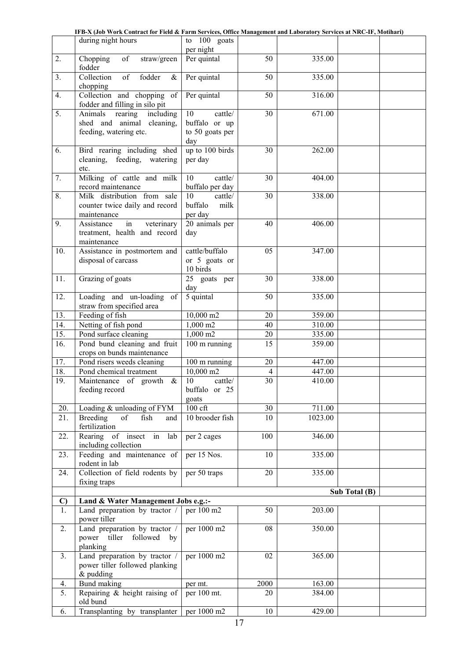|--|

|              | during night hours                                                                  | to 100 goats                                             |                |                     |               |  |
|--------------|-------------------------------------------------------------------------------------|----------------------------------------------------------|----------------|---------------------|---------------|--|
|              |                                                                                     | per night                                                |                |                     |               |  |
| 2.           | of<br>Chopping<br>straw/green<br>fodder                                             | Per quintal                                              | 50             | 335.00              |               |  |
| 3.           | $\overline{\text{of}}$<br>fodder<br>Collection<br>$\&$<br>chopping                  | Per quintal                                              | 50             | 335.00              |               |  |
| 4.           | Collection and chopping of<br>fodder and filling in silo pit                        | Per quintal                                              | 50             | 316.00              |               |  |
| 5.           | rearing including<br>Animals<br>shed and animal cleaning,<br>feeding, watering etc. | 10<br>cattle/<br>buffalo or up<br>to 50 goats per<br>day | 30             | $\overline{67}1.00$ |               |  |
| 6.           | Bird rearing including shed<br>cleaning, feeding, watering<br>etc.                  | up to 100 birds<br>per day                               | 30             | 262.00              |               |  |
| 7.           | Milking of cattle and milk<br>record maintenance                                    | 10<br>cattle/<br>buffalo per day                         | 30             | 404.00              |               |  |
| 8.           | Milk distribution from sale<br>counter twice daily and record<br>maintenance        | 10<br>cattle/<br>buffalo<br>milk<br>per day              | 30             | 338.00              |               |  |
| 9.           | in<br>veterinary<br>Assistance<br>treatment, health and record<br>maintenance       | 20 animals per<br>day                                    | 40             | 406.00              |               |  |
| 10.          | Assistance in postmortem and<br>disposal of carcass                                 | cattle/buffalo<br>or 5 goats or<br>10 birds              | 05             | 347.00              |               |  |
| 11.          | Grazing of goats                                                                    | 25 goats per<br>day                                      | 30             | 338.00              |               |  |
| 12.          | Loading and un-loading of<br>straw from specified area                              | 5 quintal                                                | 50             | 335.00              |               |  |
| 13.          | Feeding of fish                                                                     | 10,000 m2                                                | 20             | 359.00              |               |  |
| 14.          | Netting of fish pond                                                                | 1,000 m2                                                 | 40             | 310.00              |               |  |
| 15.          | Pond surface cleaning                                                               | 1,000 m2                                                 | 20             | 335.00              |               |  |
| 16.          | Pond bund cleaning and fruit<br>crops on bunds maintenance                          | 100 m running                                            | 15             | 359.00              |               |  |
| 17.          | Pond risers weeds cleaning                                                          | 100 m running                                            | 20             | 447.00              |               |  |
| 18.          | Pond chemical treatment                                                             | 10,000 m2                                                | $\overline{4}$ | 447.00              |               |  |
| 19.          | Maintenance of growth<br>&<br>feeding record                                        | 10<br>cattle/<br>buffalo or 25<br>goats                  | 30             | 410.00              |               |  |
| 20.          | Loading & unloading of FYM                                                          | $100$ cft                                                | 30             | 711.00              |               |  |
| 21.          | Breeding<br>of<br>fish<br>and<br>fertilization                                      | 10 brooder fish                                          | 10             | 1023.00             |               |  |
| 22.          | Rearing of insect in<br>lab<br>including collection                                 | per 2 cages                                              | 100            | 346.00              |               |  |
| 23.          | Feeding and maintenance of<br>rodent in lab                                         | per 15 Nos.                                              | 10             | 335.00              |               |  |
| 24.          | Collection of field rodents by<br>fixing traps                                      | per 50 traps                                             | 20             | 335.00              |               |  |
|              |                                                                                     |                                                          |                |                     | Sub Total (B) |  |
| $\mathbf{C}$ | Land & Water Management Jobs e.g.:-                                                 |                                                          |                |                     |               |  |
| 1.           | Land preparation by tractor /<br>power tiller                                       | per 100 m2                                               | 50             | 203.00              |               |  |
| 2.           | Land preparation by tractor /<br>power tiller followed<br>by<br>planking            | per 1000 m2                                              | 08             | 350.00              |               |  |
| 3.           | Land preparation by tractor /<br>power tiller followed planking<br>$&$ pudding      | per 1000 m2                                              | 02             | 365.00              |               |  |
| 4.           | Bund making                                                                         | per mt.                                                  | 2000           | 163.00              |               |  |
| 5.           | Repairing & height raising of<br>old bund                                           | per 100 mt.                                              | 20             | 384.00              |               |  |
| 6.           | Transplanting by transplanter                                                       | per 1000 m2                                              | 10             | 429.00              |               |  |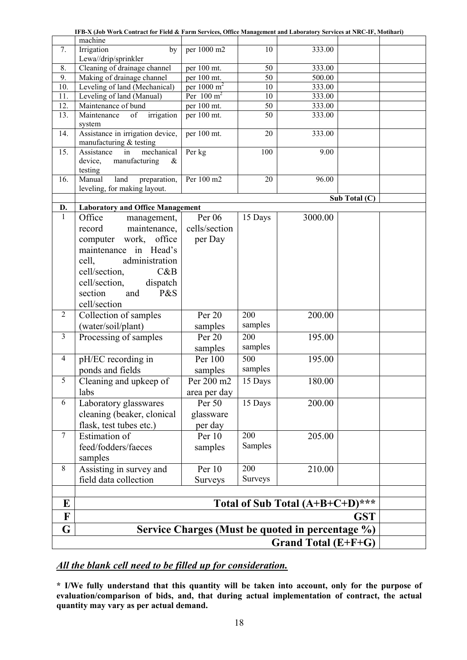|                         | IFB-X (Job Work Contract for Field & Farm Services, Office Management and Laboratory Services at NRC-IF, Motihari) |                        |                  |                                                  |               |
|-------------------------|--------------------------------------------------------------------------------------------------------------------|------------------------|------------------|--------------------------------------------------|---------------|
|                         | machine                                                                                                            |                        |                  |                                                  |               |
| 7.                      | Irrigation<br>by                                                                                                   | per 1000 m2            | 10               | 333.00                                           |               |
|                         | Lewa//drip/sprinkler                                                                                               |                        |                  |                                                  |               |
| 8.                      | Cleaning of drainage channel                                                                                       | per 100 mt.            | 50               | 333.00                                           |               |
| 9.                      | Making of drainage channel                                                                                         | per 100 mt.            | 50               | 500.00                                           |               |
| 10.                     | Leveling of land (Mechanical)                                                                                      | per $1000 \text{ m}^2$ | 10               | 333.00                                           |               |
| 11.                     | Leveling of land (Manual)                                                                                          | Per $100 \text{ m}^2$  | 10               | 333.00                                           |               |
| 12.                     | Maintenance of bund                                                                                                | per 100 mt.            | 50               | 333.00                                           |               |
| 13.                     | Maintenance<br>irrigation<br>of                                                                                    | per 100 mt.            | 50               | 333.00                                           |               |
|                         | system                                                                                                             |                        |                  |                                                  |               |
| 14.                     | Assistance in irrigation device,                                                                                   | per 100 mt.            | 20               | 333.00                                           |               |
|                         | manufacturing & testing                                                                                            |                        |                  |                                                  |               |
| 15.                     | mechanical<br>Assistance<br>in                                                                                     | Per kg                 | 100              | 9.00                                             |               |
|                         | manufacturing<br>device,<br>$\&$                                                                                   |                        |                  |                                                  |               |
| 16.                     | testing<br>land<br>preparation,<br>Manual                                                                          | Per 100 m2             | 20               | 96.00                                            |               |
|                         | leveling, for making layout.                                                                                       |                        |                  |                                                  |               |
|                         |                                                                                                                    |                        |                  |                                                  | Sub Total (C) |
| D.                      | <b>Laboratory and Office Management</b>                                                                            |                        |                  |                                                  |               |
| $\mathbf{1}$            | Office<br>management,                                                                                              | Per 06                 | 15 Days          | 3000.00                                          |               |
|                         | maintenance,<br>record                                                                                             | cells/section          |                  |                                                  |               |
|                         |                                                                                                                    |                        |                  |                                                  |               |
|                         | computer work, office                                                                                              | per Day                |                  |                                                  |               |
|                         | maintenance in Head's                                                                                              |                        |                  |                                                  |               |
|                         | administration<br>cell,                                                                                            |                        |                  |                                                  |               |
|                         | cell/section,<br>C&B                                                                                               |                        |                  |                                                  |               |
|                         | cell/section,<br>dispatch                                                                                          |                        |                  |                                                  |               |
|                         | P&S<br>section<br>and                                                                                              |                        |                  |                                                  |               |
|                         | cell/section                                                                                                       |                        |                  |                                                  |               |
| $\overline{2}$          | Collection of samples                                                                                              | Per 20                 | 200              | 200.00                                           |               |
|                         | (water/soil/plant)                                                                                                 | samples                | samples          |                                                  |               |
| $\overline{\mathbf{3}}$ | Processing of samples                                                                                              | Per 20                 | 200              | 195.00                                           |               |
|                         |                                                                                                                    |                        | samples          |                                                  |               |
|                         |                                                                                                                    | samples                |                  |                                                  |               |
| $\overline{4}$          | pH/EC recording in                                                                                                 | Per 100                | $\overline{500}$ | 195.00                                           |               |
|                         | ponds and fields                                                                                                   | samples                | samples          |                                                  |               |
| 5                       | Cleaning and upkeep of                                                                                             | Per 200 m2             | 15 Days          | 180.00                                           |               |
|                         | labs                                                                                                               | area per day           |                  |                                                  |               |
| 6                       | Laboratory glasswares                                                                                              | Per 50                 | 15 Days          | 200.00                                           |               |
|                         | cleaning (beaker, clonical                                                                                         | glassware              |                  |                                                  |               |
|                         | flask, test tubes etc.)                                                                                            | per day                |                  |                                                  |               |
| $\tau$                  | <b>Estimation</b> of                                                                                               | Per 10                 | 200              | 205.00                                           |               |
|                         | feed/fodders/faeces                                                                                                | samples                | Samples          |                                                  |               |
|                         |                                                                                                                    |                        |                  |                                                  |               |
|                         | samples                                                                                                            |                        |                  |                                                  |               |
| 8                       | Assisting in survey and                                                                                            | Per 10                 | 200              | 210.00                                           |               |
|                         | field data collection                                                                                              | <b>Surveys</b>         | <b>Surveys</b>   |                                                  |               |
|                         |                                                                                                                    |                        |                  |                                                  |               |
| E                       |                                                                                                                    |                        |                  | Total of Sub Total (A+B+C+D)***                  |               |
| $\mathbf{F}$            |                                                                                                                    |                        |                  |                                                  | <b>GST</b>    |
|                         |                                                                                                                    |                        |                  |                                                  |               |
| G                       |                                                                                                                    |                        |                  | Service Charges (Must be quoted in percentage %) |               |
|                         | Grand Total (E+F+G)                                                                                                |                        |                  |                                                  |               |

# *All the blank cell need to be filled up for consideration.*

\* I/We fully understand that this quantity will be taken into account, only for the purpose of evaluation/comparison of bids, and, that during actual implementation of contract, the actual quantity may vary as per actual demand.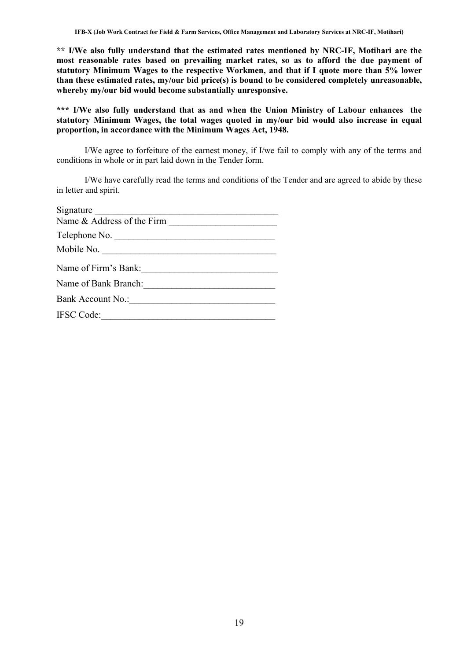\*\* I/We also fully understand that the estimated rates mentioned by NRC-IF, Motihari are the most reasonable rates based on prevailing market rates, so as to afford the due payment of statutory Minimum Wages to the respective Workmen, and that if I quote more than 5% lower than these estimated rates, my/our bid price(s) is bound to be considered completely unreasonable, whereby my/our bid would become substantially unresponsive.

\*\*\* I/We also fully understand that as and when the Union Ministry of Labour enhances the statutory Minimum Wages, the total wages quoted in my/our bid would also increase in equal proportion, in accordance with the Minimum Wages Act, 1948.

I/We agree to forfeiture of the earnest money, if I/we fail to comply with any of the terms and conditions in whole or in part laid down in the Tender form.

I/We have carefully read the terms and conditions of the Tender and are agreed to abide by these in letter and spirit.

| Signature            |
|----------------------|
|                      |
| Telephone No.        |
| Mobile No.           |
| Name of Firm's Bank: |
| Name of Bank Branch: |
| Bank Account No.:    |
| <b>IFSC Code:</b>    |
|                      |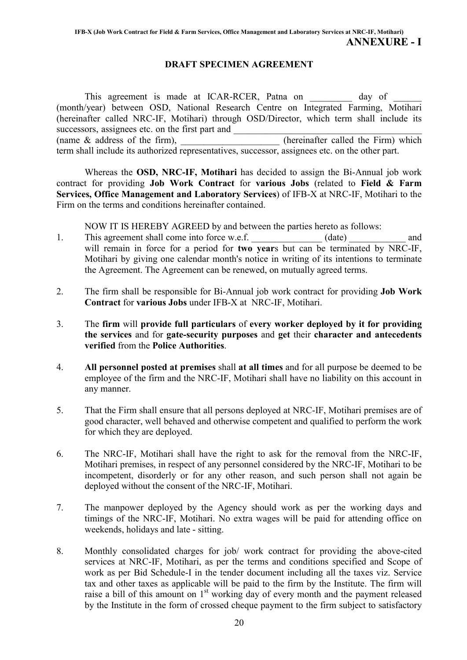### DRAFT SPECIMEN AGREEMENT

This agreement is made at ICAR-RCER, Patna on \_\_\_\_\_\_\_\_ day of (month/year) between OSD, National Research Centre on Integrated Farming, Motihari (hereinafter called NRC-IF, Motihari) through OSD/Director, which term shall include its successors, assignees etc. on the first part and  $\frac{1}{\frac{1}{2} \cdot \frac{1}{2} \cdot \frac{1}{2} \cdot \frac{1}{2} \cdot \frac{1}{2} \cdot \frac{1}{2} \cdot \frac{1}{2} \cdot \frac{1}{2} \cdot \frac{1}{2} \cdot \frac{1}{2} \cdot \frac{1}{2} \cdot \frac{1}{2} \cdot \frac{1}{2} \cdot \frac{1}{2} \cdot \frac{1}{2} \cdot \frac{1}{2} \cdot \frac{1}{2} \cdot \frac{1}{2} \cdot \frac{1$ (name  $&$  address of the firm),  $\frac{1}{\sqrt{1-\frac{1}{\sqrt{1-\frac{1}{\sqrt{1-\frac{1}{\sqrt{1-\frac{1}{\sqrt{1-\frac{1}{\sqrt{1-\frac{1}{\sqrt{1-\frac{1}{\sqrt{1-\frac{1}{\sqrt{1-\frac{1}{\sqrt{1-\frac{1}{\sqrt{1-\frac{1}{\sqrt{1-\frac{1}{\sqrt{1-\frac{1}{\sqrt{1-\frac{1}{\sqrt{1-\frac{1}{\sqrt{1-\frac{1}{\sqrt{1-\frac{1}{\sqrt{1-\frac{1}{\sqrt{1-\frac{1}{\sqrt{1-\frac{1}{\$ term shall include its authorized representatives, successor, assignees etc. on the other part.

Whereas the OSD, NRC-IF, Motihari has decided to assign the Bi-Annual job work contract for providing Job Work Contract for various Jobs (related to Field & Farm Services, Office Management and Laboratory Services) of IFB-X at NRC-IF, Motihari to the Firm on the terms and conditions hereinafter contained.

NOW IT IS HEREBY AGREED by and between the parties hereto as follows:

- 1. This agreement shall come into force w.e.f.  $(date)$  and will remain in force for a period for **two years** but can be terminated by NRC-IF, Motihari by giving one calendar month's notice in writing of its intentions to terminate the Agreement. The Agreement can be renewed, on mutually agreed terms.
- 2. The firm shall be responsible for Bi-Annual job work contract for providing Job Work Contract for various Jobs under IFB-X at NRC-IF, Motihari.
- 3. The firm will provide full particulars of every worker deployed by it for providing the services and for gate-security purposes and get their character and antecedents verified from the Police Authorities.
- 4. All personnel posted at premises shall at all times and for all purpose be deemed to be employee of the firm and the NRC-IF, Motihari shall have no liability on this account in any manner.
- 5. That the Firm shall ensure that all persons deployed at NRC-IF, Motihari premises are of good character, well behaved and otherwise competent and qualified to perform the work for which they are deployed.
- 6. The NRC-IF, Motihari shall have the right to ask for the removal from the NRC-IF, Motihari premises, in respect of any personnel considered by the NRC-IF, Motihari to be incompetent, disorderly or for any other reason, and such person shall not again be deployed without the consent of the NRC-IF, Motihari.
- 7. The manpower deployed by the Agency should work as per the working days and timings of the NRC-IF, Motihari. No extra wages will be paid for attending office on weekends, holidays and late - sitting.
- 8. Monthly consolidated charges for job/ work contract for providing the above-cited services at NRC-IF, Motihari, as per the terms and conditions specified and Scope of work as per Bid Schedule-I in the tender document including all the taxes viz. Service tax and other taxes as applicable will be paid to the firm by the Institute. The firm will raise a bill of this amount on  $1<sup>st</sup>$  working day of every month and the payment released by the Institute in the form of crossed cheque payment to the firm subject to satisfactory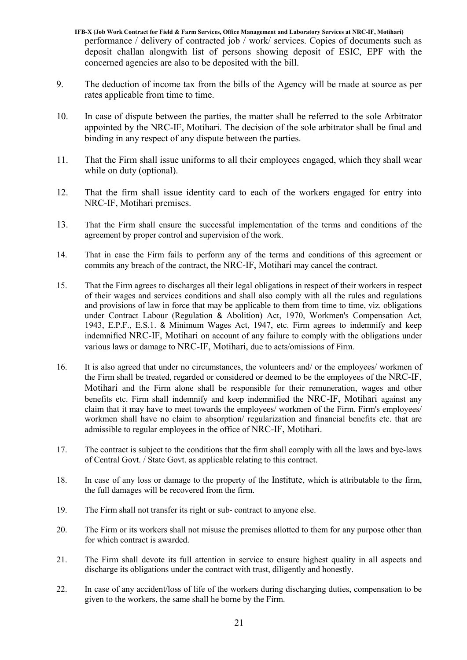- IFB-X (Job Work Contract for Field & Farm Services, Office Management and Laboratory Services at NRC-IF, Motihari) performance / delivery of contracted job / work/ services. Copies of documents such as deposit challan alongwith list of persons showing deposit of ESIC, EPF with the concerned agencies are also to be deposited with the bill.
- 9. The deduction of income tax from the bills of the Agency will be made at source as per rates applicable from time to time.
- 10. In case of dispute between the parties, the matter shall be referred to the sole Arbitrator appointed by the NRC-IF, Motihari. The decision of the sole arbitrator shall be final and binding in any respect of any dispute between the parties.
- 11. That the Firm shall issue uniforms to all their employees engaged, which they shall wear while on duty (optional).
- 12. That the firm shall issue identity card to each of the workers engaged for entry into NRC-IF, Motihari premises.
- 13. That the Firm shall ensure the successful implementation of the terms and conditions of the agreement by proper control and supervision of the work.
- 14. That in case the Firm fails to perform any of the terms and conditions of this agreement or commits any breach of the contract, the NRC-IF, Motihari may cancel the contract.
- 15. That the Firm agrees to discharges all their legal obligations in respect of their workers in respect of their wages and services conditions and shall also comply with all the rules and regulations and provisions of law in force that may be applicable to them from time to time, viz. obligations under Contract Labour (Regulation & Abolition) Act, 1970, Workmen's Compensation Act, 1943, E.P.F., E.S.1. & Minimum Wages Act, 1947, etc. Firm agrees to indemnify and keep indemnified NRC-IF, Motihari on account of any failure to comply with the obligations under various laws or damage to NRC-IF, Motihari, due to acts/omissions of Firm.
- 16. It is also agreed that under no circumstances, the volunteers and/ or the employees/ workmen of the Firm shall be treated, regarded or considered or deemed to be the employees of the NRC-IF, Motihari and the Firm alone shall be responsible for their remuneration, wages and other benefits etc. Firm shall indemnify and keep indemnified the NRC-IF, Motihari against any claim that it may have to meet towards the employees/ workmen of the Firm. Firm's employees/ workmen shall have no claim to absorption/ regularization and financial benefits etc. that are admissible to regular employees in the office of NRC-IF, Motihari.
- 17. The contract is subject to the conditions that the firm shall comply with all the laws and bye-laws of Central Govt. / State Govt. as applicable relating to this contract.
- 18. In case of any loss or damage to the property of the Institute, which is attributable to the firm, the full damages will be recovered from the firm.
- 19. The Firm shall not transfer its right or sub- contract to anyone else.
- 20. The Firm or its workers shall not misuse the premises allotted to them for any purpose other than for which contract is awarded.
- 21. The Firm shall devote its full attention in service to ensure highest quality in all aspects and discharge its obligations under the contract with trust, diligently and honestly.
- 22. In case of any accident/loss of life of the workers during discharging duties, compensation to be given to the workers, the same shall he borne by the Firm.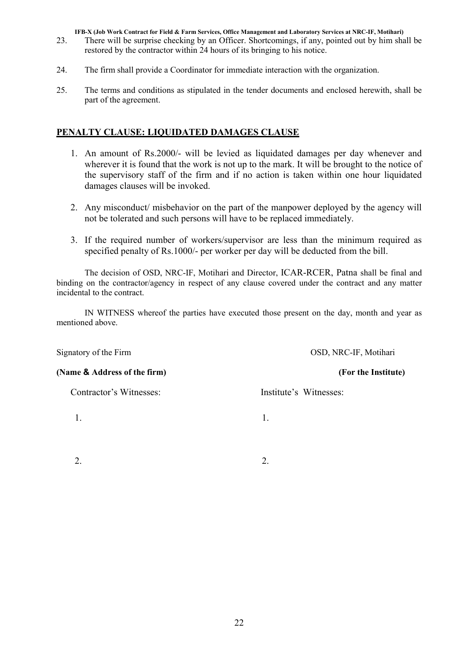- 23. There will be surprise checking by an Officer. Shortcomings, if any, pointed out by him shall be restored by the contractor within 24 hours of its bringing to his notice.
- 24. The firm shall provide a Coordinator for immediate interaction with the organization.
- 25. The terms and conditions as stipulated in the tender documents and enclosed herewith, shall be part of the agreement.

### PENALTY CLAUSE: LIQUIDATED DAMAGES CLAUSE

- 1. An amount of Rs.2000/- will be levied as liquidated damages per day whenever and wherever it is found that the work is not up to the mark. It will be brought to the notice of the supervisory staff of the firm and if no action is taken within one hour liquidated damages clauses will be invoked.
- 2. Any misconduct/ misbehavior on the part of the manpower deployed by the agency will not be tolerated and such persons will have to be replaced immediately.
- 3. If the required number of workers/supervisor are less than the minimum required as specified penalty of Rs.1000/- per worker per day will be deducted from the bill.

The decision of OSD, NRC-IF, Motihari and Director, ICAR-RCER, Patna shall be final and binding on the contractor/agency in respect of any clause covered under the contract and any matter incidental to the contract.

IN WITNESS whereof the parties have executed those present on the day, month and year as mentioned above.

Signatory of the Firm OSD, NRC-IF, Motihari (Name & Address of the firm) (For the Institute) Contractor's Witnesses: Institute's Witnesses: 1. 1.

 $2.$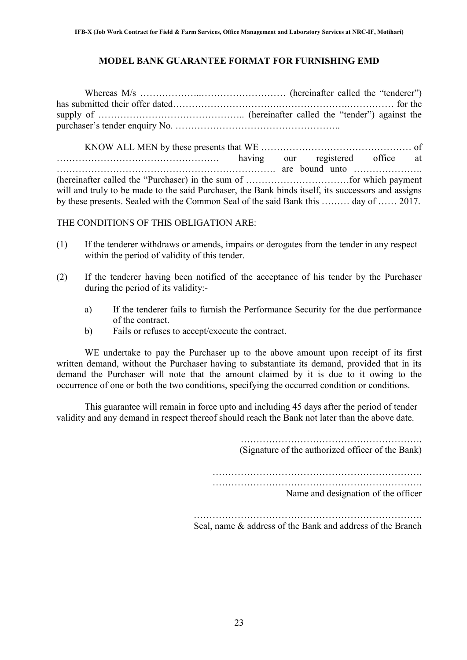### MODEL BANK GUARANTEE FORMAT FOR FURNISHING EMD

KNOW ALL MEN by these presents that WE ………………………………………… of ……………………………………………. having our registered office at ……………………………………………………………. are bound unto …………………. (hereinafter called the "Purchaser) in the sum of ……………………………for which payment will and truly to be made to the said Purchaser, the Bank binds itself, its successors and assigns by these presents. Sealed with the Common Seal of the said Bank this ……… day of …… 2017.

### THE CONDITIONS OF THIS OBLIGATION ARE:

- (1) If the tenderer withdraws or amends, impairs or derogates from the tender in any respect within the period of validity of this tender.
- (2) If the tenderer having been notified of the acceptance of his tender by the Purchaser during the period of its validity:
	- a) If the tenderer fails to furnish the Performance Security for the due performance of the contract.
	- b) Fails or refuses to accept/execute the contract.

WE undertake to pay the Purchaser up to the above amount upon receipt of its first written demand, without the Purchaser having to substantiate its demand, provided that in its demand the Purchaser will note that the amount claimed by it is due to it owing to the occurrence of one or both the two conditions, specifying the occurred condition or conditions.

This guarantee will remain in force upto and including 45 days after the period of tender validity and any demand in respect thereof should reach the Bank not later than the above date.

(Signature of the authorized officer of the Bank)

…………………………………………………………. ………………………………………………………….

Name and designation of the officer

………………………………………………………………. Seal, name & address of the Bank and address of the Branch